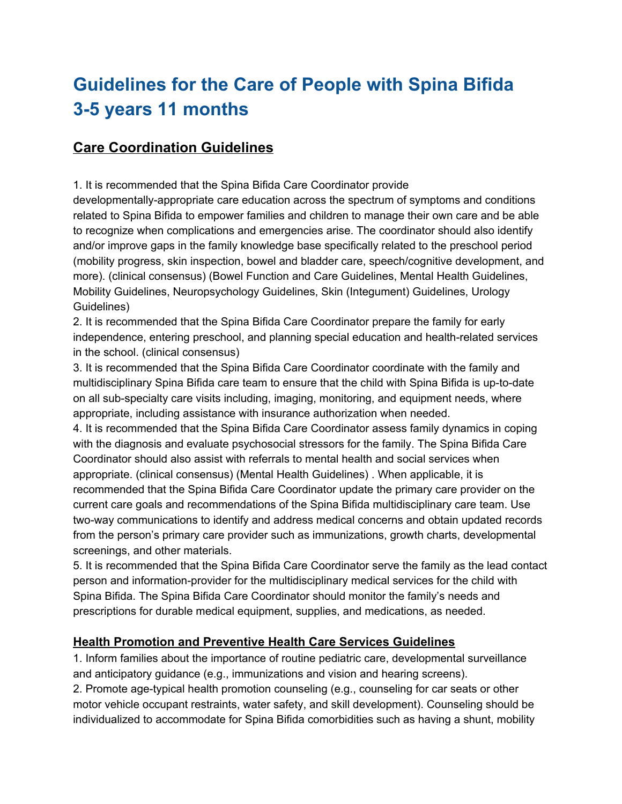# **Guidelines for the Care of People with Spina Bifida 3-5 years 11 months**

# **Care Coordination Guidelines**

1. It is recommended that the Spina Bifida Care Coordinator provide

developmentally-appropriate care education across the spectrum of symptoms and conditions related to Spina Bifida to empower families and children to manage their own care and be able to recognize when complications and emergencies arise. The coordinator should also identify and/or improve gaps in the family knowledge base specifically related to the preschool period (mobility progress, skin inspection, bowel and bladder care, speech/cognitive development, and more). (clinical consensus) (Bowel Function and Care Guidelines, Mental Health Guidelines, Mobility Guidelines, Neuropsychology Guidelines, Skin (Integument) Guidelines, Urology Guidelines)

2. It is recommended that the Spina Bifida Care Coordinator prepare the family for early independence, entering preschool, and planning special education and health-related services in the school. (clinical consensus)

3. It is recommended that the Spina Bifida Care Coordinator coordinate with the family and multidisciplinary Spina Bifida care team to ensure that the child with Spina Bifida is up-to-date on all sub-specialty care visits including, imaging, monitoring, and equipment needs, where appropriate, including assistance with insurance authorization when needed.

4. It is recommended that the Spina Bifida Care Coordinator assess family dynamics in coping with the diagnosis and evaluate psychosocial stressors for the family. The Spina Bifida Care Coordinator should also assist with referrals to mental health and social services when appropriate. (clinical consensus) (Mental Health Guidelines) . When applicable, it is recommended that the Spina Bifida Care Coordinator update the primary care provider on the current care goals and recommendations of the Spina Bifida multidisciplinary care team. Use two-way communications to identify and address medical concerns and obtain updated records from the person's primary care provider such as immunizations, growth charts, developmental screenings, and other materials.

5. It is recommended that the Spina Bifida Care Coordinator serve the family as the lead contact person and information-provider for the multidisciplinary medical services for the child with Spina Bifida. The Spina Bifida Care Coordinator should monitor the family's needs and prescriptions for durable medical equipment, supplies, and medications, as needed.

#### **Health Promotion and Preventive Health Care Services Guidelines**

1. Inform families about the importance of routine pediatric care, developmental surveillance and anticipatory guidance (e.g., immunizations and vision and hearing screens).

2. Promote age-typical health promotion counseling (e.g., counseling for car seats or other motor vehicle occupant restraints, water safety, and skill development). Counseling should be individualized to accommodate for Spina Bifida comorbidities such as having a shunt, mobility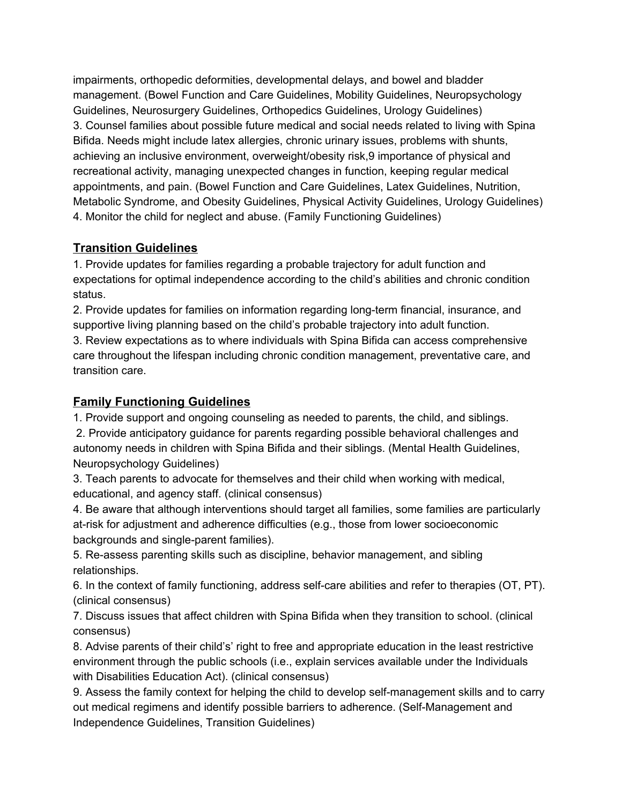impairments, orthopedic deformities, developmental delays, and bowel and bladder management. (Bowel Function and Care Guidelines, Mobility Guidelines, Neuropsychology Guidelines, Neurosurgery Guidelines, Orthopedics Guidelines, Urology Guidelines) 3. Counsel families about possible future medical and social needs related to living with Spina Bifida. Needs might include latex allergies, chronic urinary issues, problems with shunts, achieving an inclusive environment, overweight/obesity risk,9 importance of physical and recreational activity, managing unexpected changes in function, keeping regular medical appointments, and pain. (Bowel Function and Care Guidelines, Latex Guidelines, Nutrition, Metabolic Syndrome, and Obesity Guidelines, Physical Activity Guidelines, Urology Guidelines) 4. Monitor the child for neglect and abuse. (Family Functioning Guidelines)

# **Transition Guidelines**

1. Provide updates for families regarding a probable trajectory for adult function and expectations for optimal independence according to the child's abilities and chronic condition status.

2. Provide updates for families on information regarding long-term financial, insurance, and supportive living planning based on the child's probable trajectory into adult function.

3. Review expectations as to where individuals with Spina Bifida can access comprehensive care throughout the lifespan including chronic condition management, preventative care, and transition care.

# **Family Functioning Guidelines**

1. Provide support and ongoing counseling as needed to parents, the child, and siblings.

2. Provide anticipatory guidance for parents regarding possible behavioral challenges and autonomy needs in children with Spina Bifida and their siblings. (Mental Health Guidelines, Neuropsychology Guidelines)

3. Teach parents to advocate for themselves and their child when working with medical, educational, and agency staff. (clinical consensus)

4. Be aware that although interventions should target all families, some families are particularly at-risk for adjustment and adherence difficulties (e.g., those from lower socioeconomic backgrounds and single-parent families).

5. Re-assess parenting skills such as discipline, behavior management, and sibling relationships.

6. In the context of family functioning, address self-care abilities and refer to therapies (OT, PT). (clinical consensus)

7. Discuss issues that affect children with Spina Bifida when they transition to school. (clinical consensus)

8. Advise parents of their child's' right to free and appropriate education in the least restrictive environment through the public schools (i.e., explain services available under the Individuals with Disabilities Education Act). (clinical consensus)

9. Assess the family context for helping the child to develop self-management skills and to carry out medical regimens and identify possible barriers to adherence. (Self-Management and Independence Guidelines, Transition Guidelines)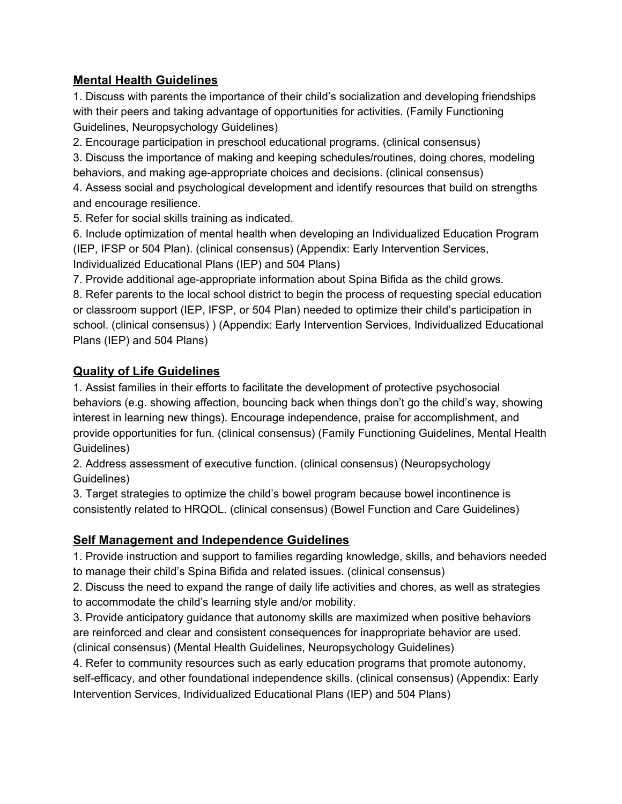## **Mental Health Guidelines**

1. Discuss with parents the importance of their child's socialization and developing friendships with their peers and taking advantage of opportunities for activities. (Family Functioning Guidelines, Neuropsychology Guidelines)

2. Encourage participation in preschool educational programs. (clinical consensus)

3. Discuss the importance of making and keeping schedules/routines, doing chores, modeling behaviors, and making age-appropriate choices and decisions. (clinical consensus)

4. Assess social and psychological development and identify resources that build on strengths and encourage resilience.

5. Refer for social skills training as indicated.

6. Include optimization of mental health when developing an Individualized Education Program (IEP, IFSP or 504 Plan). (clinical consensus) (Appendix: Early Intervention Services, Individualized Educational Plans (IEP) and 504 Plans)

7. Provide additional age-appropriate information about Spina Bifida as the child grows.

8. Refer parents to the local school district to begin the process of requesting special education or classroom support (IEP, IFSP, or 504 Plan) needed to optimize their child's participation in school. (clinical consensus) ) (Appendix: Early Intervention Services, Individualized Educational Plans (IEP) and 504 Plans)

# **Quality of Life Guidelines**

1. Assist families in their efforts to facilitate the development of protective psychosocial behaviors (e.g. showing affection, bouncing back when things don't go the child's way, showing interest in learning new things). Encourage independence, praise for accomplishment, and provide opportunities for fun. (clinical consensus) (Family Functioning Guidelines, Mental Health Guidelines)

2. Address assessment of executive function. (clinical consensus) (Neuropsychology Guidelines)

3. Target strategies to optimize the child's bowel program because bowel incontinence is consistently related to HRQOL. (clinical consensus) (Bowel Function and Care Guidelines)

# **Self Management and Independence Guidelines**

1. Provide instruction and support to families regarding knowledge, skills, and behaviors needed to manage their child's Spina Bifida and related issues. (clinical consensus)

2. Discuss the need to expand the range of daily life activities and chores, as well as strategies to accommodate the child's learning style and/or mobility.

3. Provide anticipatory guidance that autonomy skills are maximized when positive behaviors are reinforced and clear and consistent consequences for inappropriate behavior are used. (clinical consensus) (Mental Health Guidelines, Neuropsychology Guidelines)

4. Refer to community resources such as early education programs that promote autonomy, self-efficacy, and other foundational independence skills. (clinical consensus) (Appendix: Early Intervention Services, Individualized Educational Plans (IEP) and 504 Plans)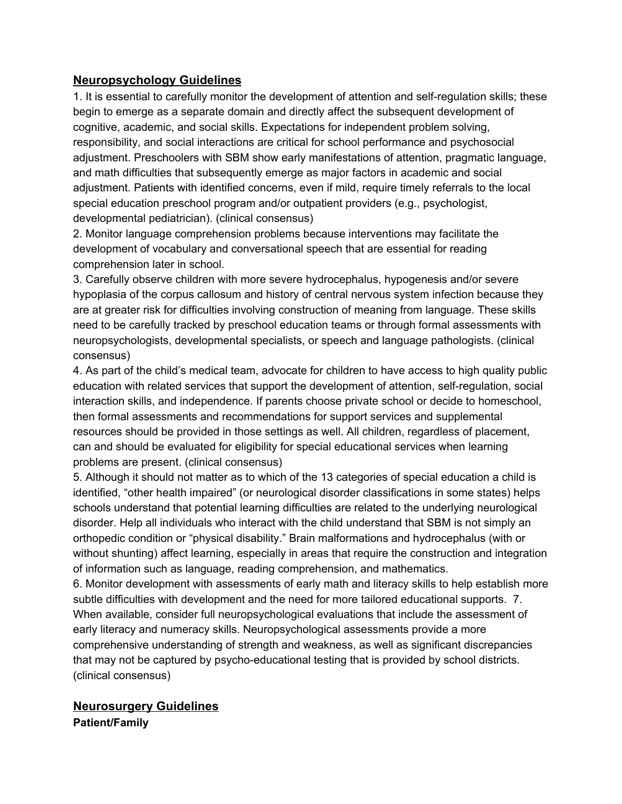#### **Neuropsychology Guidelines**

1. It is essential to carefully monitor the development of attention and self-regulation skills; these begin to emerge as a separate domain and directly affect the subsequent development of cognitive, academic, and social skills. Expectations for independent problem solving, responsibility, and social interactions are critical for school performance and psychosocial adjustment. Preschoolers with SBM show early manifestations of attention, pragmatic language, and math difficulties that subsequently emerge as major factors in academic and social adjustment. Patients with identified concerns, even if mild, require timely referrals to the local special education preschool program and/or outpatient providers (e.g., psychologist, developmental pediatrician). (clinical consensus)

2. Monitor language comprehension problems because interventions may facilitate the development of vocabulary and conversational speech that are essential for reading comprehension later in school.

3. Carefully observe children with more severe hydrocephalus, hypogenesis and/or severe hypoplasia of the corpus callosum and history of central nervous system infection because they are at greater risk for difficulties involving construction of meaning from language. These skills need to be carefully tracked by preschool education teams or through formal assessments with neuropsychologists, developmental specialists, or speech and language pathologists. (clinical consensus)

4. As part of the child's medical team, advocate for children to have access to high quality public education with related services that support the development of attention, self-regulation, social interaction skills, and independence. If parents choose private school or decide to homeschool, then formal assessments and recommendations for support services and supplemental resources should be provided in those settings as well. All children, regardless of placement, can and should be evaluated for eligibility for special educational services when learning problems are present. (clinical consensus)

5. Although it should not matter as to which of the 13 categories of special education a child is identified, "other health impaired" (or neurological disorder classifications in some states) helps schools understand that potential learning difficulties are related to the underlying neurological disorder. Help all individuals who interact with the child understand that SBM is not simply an orthopedic condition or "physical disability." Brain malformations and hydrocephalus (with or without shunting) affect learning, especially in areas that require the construction and integration of information such as language, reading comprehension, and mathematics.

6. Monitor development with assessments of early math and literacy skills to help establish more subtle difficulties with development and the need for more tailored educational supports. 7. When available, consider full neuropsychological evaluations that include the assessment of early literacy and numeracy skills. Neuropsychological assessments provide a more comprehensive understanding of strength and weakness, as well as significant discrepancies that may not be captured by psycho-educational testing that is provided by school districts. (clinical consensus)

## **Neurosurgery Guidelines Patient/Family**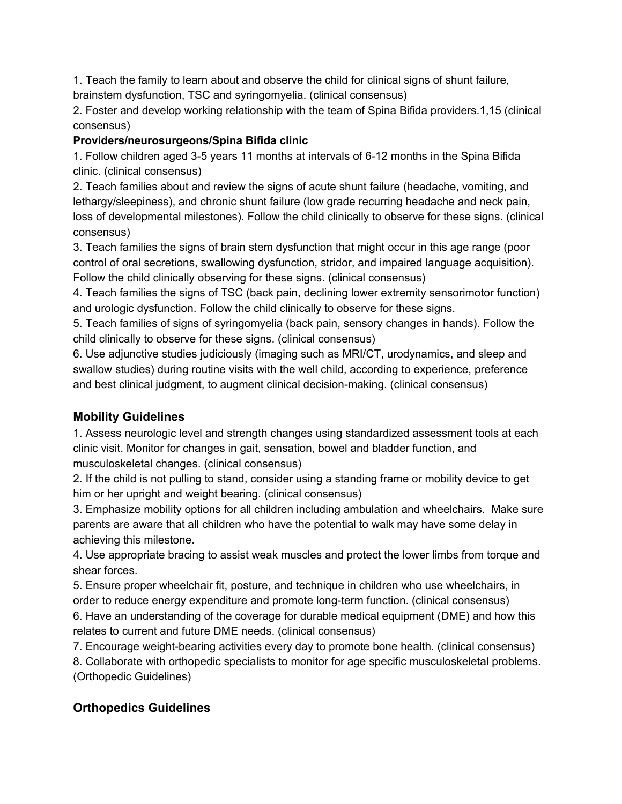1. Teach the family to learn about and observe the child for clinical signs of shunt failure, brainstem dysfunction, TSC and syringomyelia. (clinical consensus)

2. Foster and develop working relationship with the team of Spina Bifida providers.1,15 (clinical consensus)

### **Providers/neurosurgeons/Spina Bifida clinic**

1. Follow children aged 3-5 years 11 months at intervals of 6-12 months in the Spina Bifida clinic. (clinical consensus)

2. Teach families about and review the signs of acute shunt failure (headache, vomiting, and lethargy/sleepiness), and chronic shunt failure (low grade recurring headache and neck pain, loss of developmental milestones). Follow the child clinically to observe for these signs. (clinical consensus)

3. Teach families the signs of brain stem dysfunction that might occur in this age range (poor control of oral secretions, swallowing dysfunction, stridor, and impaired language acquisition). Follow the child clinically observing for these signs. (clinical consensus)

4. Teach families the signs of TSC (back pain, declining lower extremity sensorimotor function) and urologic dysfunction. Follow the child clinically to observe for these signs.

5. Teach families of signs of syringomyelia (back pain, sensory changes in hands). Follow the child clinically to observe for these signs. (clinical consensus)

6. Use adjunctive studies judiciously (imaging such as MRI/CT, urodynamics, and sleep and swallow studies) during routine visits with the well child, according to experience, preference and best clinical judgment, to augment clinical decision-making. (clinical consensus)

# **Mobility Guidelines**

1. Assess neurologic level and strength changes using standardized assessment tools at each clinic visit. Monitor for changes in gait, sensation, bowel and bladder function, and musculoskeletal changes. (clinical consensus)

2. If the child is not pulling to stand, consider using a standing frame or mobility device to get him or her upright and weight bearing. (clinical consensus)

3. Emphasize mobility options for all children including ambulation and wheelchairs. Make sure parents are aware that all children who have the potential to walk may have some delay in achieving this milestone.

4. Use appropriate bracing to assist weak muscles and protect the lower limbs from torque and shear forces.

5. Ensure proper wheelchair fit, posture, and technique in children who use wheelchairs, in order to reduce energy expenditure and promote long-term function. (clinical consensus)

6. Have an understanding of the coverage for durable medical equipment (DME) and how this relates to current and future DME needs. (clinical consensus)

7. Encourage weight-bearing activities every day to promote bone health. (clinical consensus)

8. Collaborate with orthopedic specialists to monitor for age specific musculoskeletal problems. (Orthopedic Guidelines)

# **Orthopedics Guidelines**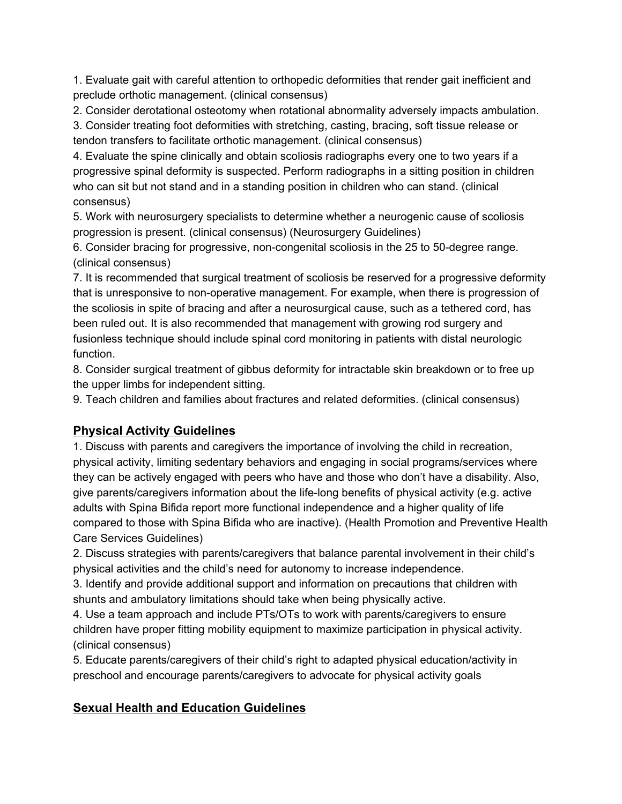1. Evaluate gait with careful attention to orthopedic deformities that render gait inefficient and preclude orthotic management. (clinical consensus)

2. Consider derotational osteotomy when rotational abnormality adversely impacts ambulation.

3. Consider treating foot deformities with stretching, casting, bracing, soft tissue release or tendon transfers to facilitate orthotic management. (clinical consensus)

4. Evaluate the spine clinically and obtain scoliosis radiographs every one to two years if a progressive spinal deformity is suspected. Perform radiographs in a sitting position in children who can sit but not stand and in a standing position in children who can stand. (clinical consensus)

5. Work with neurosurgery specialists to determine whether a neurogenic cause of scoliosis progression is present. (clinical consensus) (Neurosurgery Guidelines)

6. Consider bracing for progressive, non-congenital scoliosis in the 25 to 50-degree range. (clinical consensus)

7. It is recommended that surgical treatment of scoliosis be reserved for a progressive deformity that is unresponsive to non-operative management. For example, when there is progression of the scoliosis in spite of bracing and after a neurosurgical cause, such as a tethered cord, has been ruled out. It is also recommended that management with growing rod surgery and fusionless technique should include spinal cord monitoring in patients with distal neurologic function.

8. Consider surgical treatment of gibbus deformity for intractable skin breakdown or to free up the upper limbs for independent sitting.

9. Teach children and families about fractures and related deformities. (clinical consensus)

# **Physical Activity Guidelines**

1. Discuss with parents and caregivers the importance of involving the child in recreation, physical activity, limiting sedentary behaviors and engaging in social programs/services where they can be actively engaged with peers who have and those who don't have a disability. Also, give parents/caregivers information about the life-long benefits of physical activity (e.g. active adults with Spina Bifida report more functional independence and a higher quality of life compared to those with Spina Bifida who are inactive). (Health Promotion and Preventive Health Care Services Guidelines)

2. Discuss strategies with parents/caregivers that balance parental involvement in their child's physical activities and the child's need for autonomy to increase independence.

3. Identify and provide additional support and information on precautions that children with shunts and ambulatory limitations should take when being physically active.

4. Use a team approach and include PTs/OTs to work with parents/caregivers to ensure children have proper fitting mobility equipment to maximize participation in physical activity. (clinical consensus)

5. Educate parents/caregivers of their child's right to adapted physical education/activity in preschool and encourage parents/caregivers to advocate for physical activity goals

# **Sexual Health and Education Guidelines**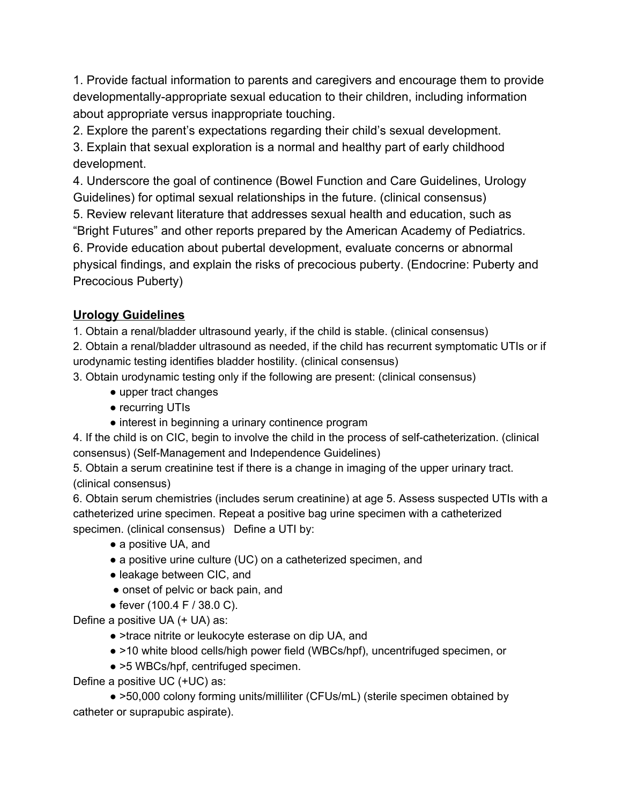1. Provide factual information to parents and caregivers and encourage them to provide developmentally-appropriate sexual education to their children, including information about appropriate versus inappropriate touching.

2. Explore the parent's expectations regarding their child's sexual development.

3. Explain that sexual exploration is a normal and healthy part of early childhood development.

4. Underscore the goal of continence (Bowel Function and Care Guidelines, Urology Guidelines) for optimal sexual relationships in the future. (clinical consensus)

5. Review relevant literature that addresses sexual health and education, such as "Bright Futures" and other reports prepared by the American Academy of Pediatrics.

6. Provide education about pubertal development, evaluate concerns or abnormal physical findings, and explain the risks of precocious puberty. (Endocrine: Puberty and

Precocious Puberty)

#### **Urology Guidelines**

1. Obtain a renal/bladder ultrasound yearly, if the child is stable. (clinical consensus)

2. Obtain a renal/bladder ultrasound as needed, if the child has recurrent symptomatic UTIs or if urodynamic testing identifies bladder hostility. (clinical consensus)

3. Obtain urodynamic testing only if the following are present: (clinical consensus)

- upper tract changes
- recurring UTIs
- interest in beginning a urinary continence program

4. If the child is on CIC, begin to involve the child in the process of self-catheterization. (clinical consensus) (Self-Management and Independence Guidelines)

5. Obtain a serum creatinine test if there is a change in imaging of the upper urinary tract. (clinical consensus)

6. Obtain serum chemistries (includes serum creatinine) at age 5. Assess suspected UTIs with a catheterized urine specimen. Repeat a positive bag urine specimen with a catheterized specimen. (clinical consensus) Define a UTI by:

- a positive UA, and
- a positive urine culture (UC) on a catheterized specimen, and
- leakage between CIC, and
- onset of pelvic or back pain, and
- fever (100.4 F / 38.0 C).

Define a positive UA (+ UA) as:

- >trace nitrite or leukocyte esterase on dip UA, and
- >10 white blood cells/high power field (WBCs/hpf), uncentrifuged specimen, or
- >5 WBCs/hpf, centrifuged specimen.

Define a positive UC (+UC) as:

● >50,000 colony forming units/milliliter (CFUs/mL) (sterile specimen obtained by catheter or suprapubic aspirate).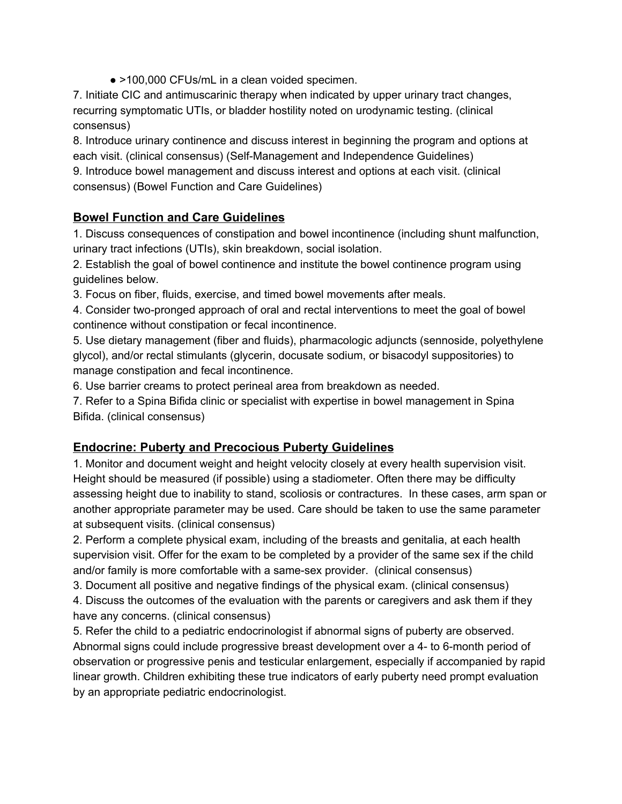● >100,000 CFUs/mL in a clean voided specimen.

7. Initiate CIC and antimuscarinic therapy when indicated by upper urinary tract changes, recurring symptomatic UTIs, or bladder hostility noted on urodynamic testing. (clinical consensus)

8. Introduce urinary continence and discuss interest in beginning the program and options at each visit. (clinical consensus) (Self-Management and Independence Guidelines) 9. Introduce bowel management and discuss interest and options at each visit. (clinical

consensus) (Bowel Function and Care Guidelines)

## **Bowel Function and Care Guidelines**

1. Discuss consequences of constipation and bowel incontinence (including shunt malfunction, urinary tract infections (UTIs), skin breakdown, social isolation.

2. Establish the goal of bowel continence and institute the bowel continence program using guidelines below.

3. Focus on fiber, fluids, exercise, and timed bowel movements after meals.

4. Consider two-pronged approach of oral and rectal interventions to meet the goal of bowel continence without constipation or fecal incontinence.

5. Use dietary management (fiber and fluids), pharmacologic adjuncts (sennoside, polyethylene glycol), and/or rectal stimulants (glycerin, docusate sodium, or bisacodyl suppositories) to manage constipation and fecal incontinence.

6. Use barrier creams to protect perineal area from breakdown as needed.

7. Refer to a Spina Bifida clinic or specialist with expertise in bowel management in Spina Bifida. (clinical consensus)

# **Endocrine: Puberty and Precocious Puberty Guidelines**

1. Monitor and document weight and height velocity closely at every health supervision visit. Height should be measured (if possible) using a stadiometer. Often there may be difficulty assessing height due to inability to stand, scoliosis or contractures. In these cases, arm span or another appropriate parameter may be used. Care should be taken to use the same parameter at subsequent visits. (clinical consensus)

2. Perform a complete physical exam, including of the breasts and genitalia, at each health supervision visit. Offer for the exam to be completed by a provider of the same sex if the child and/or family is more comfortable with a same-sex provider. (clinical consensus)

3. Document all positive and negative findings of the physical exam. (clinical consensus)

4. Discuss the outcomes of the evaluation with the parents or caregivers and ask them if they have any concerns. (clinical consensus)

5. Refer the child to a pediatric endocrinologist if abnormal signs of puberty are observed. Abnormal signs could include progressive breast development over a 4- to 6-month period of observation or progressive penis and testicular enlargement, especially if accompanied by rapid linear growth. Children exhibiting these true indicators of early puberty need prompt evaluation by an appropriate pediatric endocrinologist.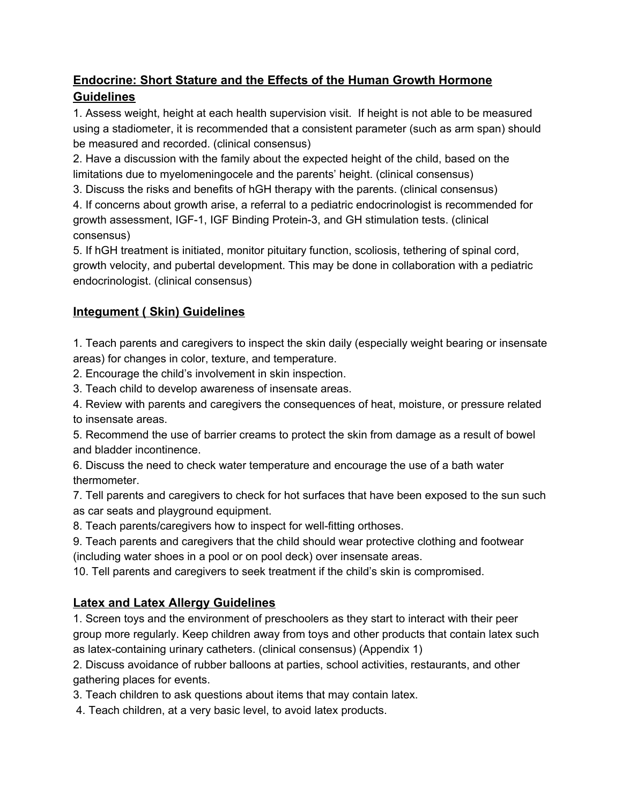# **Endocrine: Short Stature and the Effects of the Human Growth Hormone Guidelines**

1. Assess weight, height at each health supervision visit. If height is not able to be measured using a stadiometer, it is recommended that a consistent parameter (such as arm span) should be measured and recorded. (clinical consensus)

2. Have a discussion with the family about the expected height of the child, based on the limitations due to myelomeningocele and the parents' height. (clinical consensus)

3. Discuss the risks and benefits of hGH therapy with the parents. (clinical consensus)

4. If concerns about growth arise, a referral to a pediatric endocrinologist is recommended for growth assessment, IGF-1, IGF Binding Protein-3, and GH stimulation tests. (clinical consensus)

5. If hGH treatment is initiated, monitor pituitary function, scoliosis, tethering of spinal cord, growth velocity, and pubertal development. This may be done in collaboration with a pediatric endocrinologist. (clinical consensus)

# **Integument ( Skin) Guidelines**

1. Teach parents and caregivers to inspect the skin daily (especially weight bearing or insensate areas) for changes in color, texture, and temperature.

2. Encourage the child's involvement in skin inspection.

3. Teach child to develop awareness of insensate areas.

4. Review with parents and caregivers the consequences of heat, moisture, or pressure related to insensate areas.

5. Recommend the use of barrier creams to protect the skin from damage as a result of bowel and bladder incontinence.

6. Discuss the need to check water temperature and encourage the use of a bath water thermometer.

7. Tell parents and caregivers to check for hot surfaces that have been exposed to the sun such as car seats and playground equipment.

8. Teach parents/caregivers how to inspect for well-fitting orthoses.

9. Teach parents and caregivers that the child should wear protective clothing and footwear (including water shoes in a pool or on pool deck) over insensate areas.

10. Tell parents and caregivers to seek treatment if the child's skin is compromised.

# **Latex and Latex Allergy Guidelines**

1. Screen toys and the environment of preschoolers as they start to interact with their peer group more regularly. Keep children away from toys and other products that contain latex such as latex-containing urinary catheters. (clinical consensus) (Appendix 1)

2. Discuss avoidance of rubber balloons at parties, school activities, restaurants, and other gathering places for events.

3. Teach children to ask questions about items that may contain latex.

4. Teach children, at a very basic level, to avoid latex products.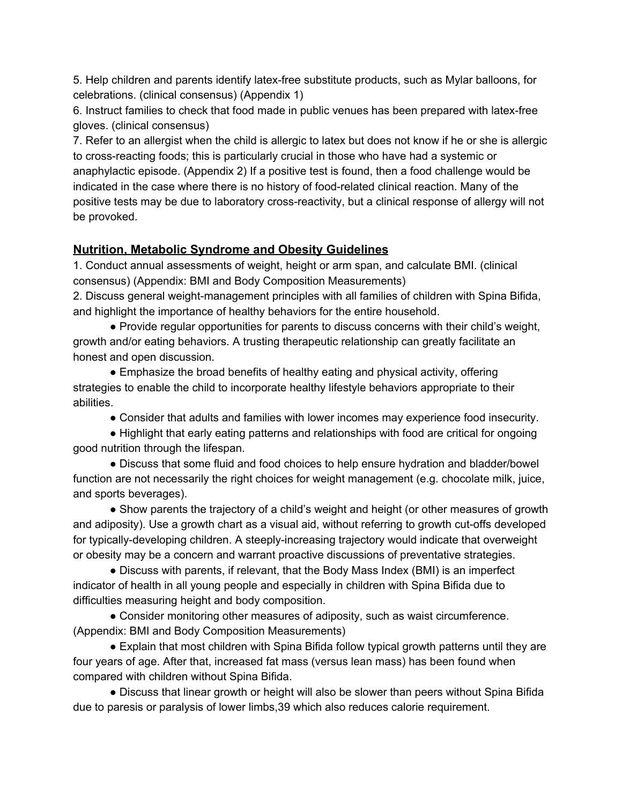5. Help children and parents identify latex-free substitute products, such as Mylar balloons, for celebrations. (clinical consensus) (Appendix 1)

6. Instruct families to check that food made in public venues has been prepared with latex-free gloves. (clinical consensus)

7. Refer to an allergist when the child is allergic to latex but does not know if he or she is allergic to cross-reacting foods; this is particularly crucial in those who have had a systemic or anaphylactic episode. (Appendix 2) If a positive test is found, then a food challenge would be indicated in the case where there is no history of food-related clinical reaction. Many of the positive tests may be due to laboratory cross-reactivity, but a clinical response of allergy will not be provoked.

#### **Nutrition, Metabolic Syndrome and Obesity Guidelines**

1. Conduct annual assessments of weight, height or arm span, and calculate BMI. (clinical consensus) (Appendix: BMI and Body Composition Measurements)

2. Discuss general weight-management principles with all families of children with Spina Bifida, and highlight the importance of healthy behaviors for the entire household.

● Provide regular opportunities for parents to discuss concerns with their child's weight, growth and/or eating behaviors. A trusting therapeutic relationship can greatly facilitate an honest and open discussion.

• Emphasize the broad benefits of healthy eating and physical activity, offering strategies to enable the child to incorporate healthy lifestyle behaviors appropriate to their abilities.

● Consider that adults and families with lower incomes may experience food insecurity.

• Highlight that early eating patterns and relationships with food are critical for ongoing good nutrition through the lifespan.

● Discuss that some fluid and food choices to help ensure hydration and bladder/bowel function are not necessarily the right choices for weight management (e.g. chocolate milk, juice, and sports beverages).

• Show parents the trajectory of a child's weight and height (or other measures of growth and adiposity). Use a growth chart as a visual aid, without referring to growth cut-offs developed for typically-developing children. A steeply-increasing trajectory would indicate that overweight or obesity may be a concern and warrant proactive discussions of preventative strategies.

● Discuss with parents, if relevant, that the Body Mass Index (BMI) is an imperfect indicator of health in all young people and especially in children with Spina Bifida due to difficulties measuring height and body composition.

● Consider monitoring other measures of adiposity, such as waist circumference. (Appendix: BMI and Body Composition Measurements)

• Explain that most children with Spina Bifida follow typical growth patterns until they are four years of age. After that, increased fat mass (versus lean mass) has been found when compared with children without Spina Bifida.

● Discuss that linear growth or height will also be slower than peers without Spina Bifida due to paresis or paralysis of lower limbs,39 which also reduces calorie requirement.